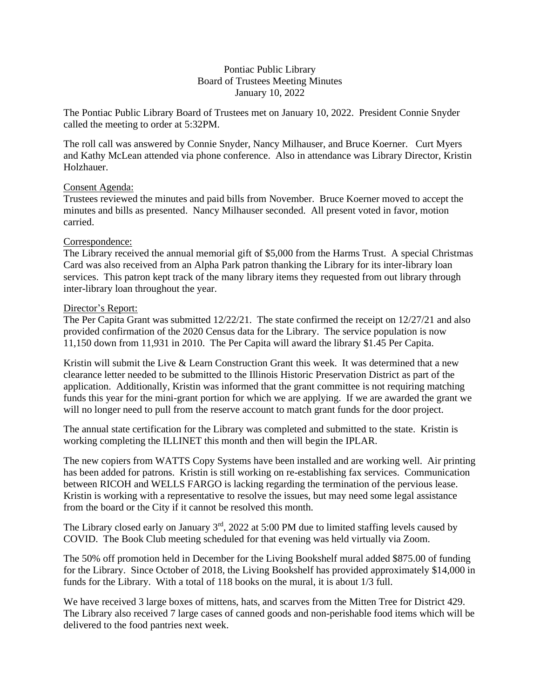### Pontiac Public Library Board of Trustees Meeting Minutes January 10, 2022

The Pontiac Public Library Board of Trustees met on January 10, 2022. President Connie Snyder called the meeting to order at 5:32PM.

The roll call was answered by Connie Snyder, Nancy Milhauser, and Bruce Koerner. Curt Myers and Kathy McLean attended via phone conference. Also in attendance was Library Director, Kristin Holzhauer.

# Consent Agenda:

Trustees reviewed the minutes and paid bills from November. Bruce Koerner moved to accept the minutes and bills as presented. Nancy Milhauser seconded. All present voted in favor, motion carried.

# Correspondence:

The Library received the annual memorial gift of \$5,000 from the Harms Trust. A special Christmas Card was also received from an Alpha Park patron thanking the Library for its inter-library loan services. This patron kept track of the many library items they requested from out library through inter-library loan throughout the year.

# Director's Report:

The Per Capita Grant was submitted 12/22/21. The state confirmed the receipt on 12/27/21 and also provided confirmation of the 2020 Census data for the Library. The service population is now 11,150 down from 11,931 in 2010. The Per Capita will award the library \$1.45 Per Capita.

Kristin will submit the Live & Learn Construction Grant this week. It was determined that a new clearance letter needed to be submitted to the Illinois Historic Preservation District as part of the application. Additionally, Kristin was informed that the grant committee is not requiring matching funds this year for the mini-grant portion for which we are applying. If we are awarded the grant we will no longer need to pull from the reserve account to match grant funds for the door project.

The annual state certification for the Library was completed and submitted to the state. Kristin is working completing the ILLINET this month and then will begin the IPLAR.

The new copiers from WATTS Copy Systems have been installed and are working well. Air printing has been added for patrons. Kristin is still working on re-establishing fax services. Communication between RICOH and WELLS FARGO is lacking regarding the termination of the pervious lease. Kristin is working with a representative to resolve the issues, but may need some legal assistance from the board or the City if it cannot be resolved this month.

The Library closed early on January  $3<sup>rd</sup>$ , 2022 at 5:00 PM due to limited staffing levels caused by COVID. The Book Club meeting scheduled for that evening was held virtually via Zoom.

The 50% off promotion held in December for the Living Bookshelf mural added \$875.00 of funding for the Library. Since October of 2018, the Living Bookshelf has provided approximately \$14,000 in funds for the Library. With a total of 118 books on the mural, it is about 1/3 full.

We have received 3 large boxes of mittens, hats, and scarves from the Mitten Tree for District 429. The Library also received 7 large cases of canned goods and non-perishable food items which will be delivered to the food pantries next week.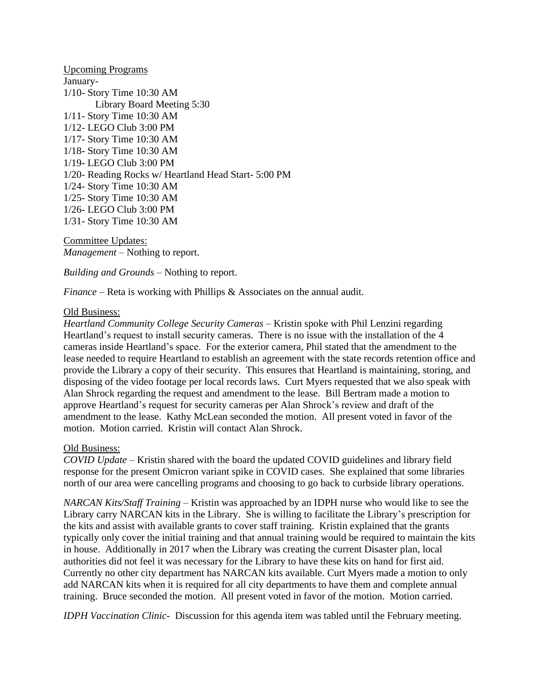Upcoming Programs January-1/10- Story Time 10:30 AM Library Board Meeting 5:30 1/11- Story Time 10:30 AM 1/12- LEGO Club 3:00 PM 1/17- Story Time 10:30 AM 1/18- Story Time 10:30 AM 1/19- LEGO Club 3:00 PM 1/20- Reading Rocks w/ Heartland Head Start- 5:00 PM 1/24- Story Time 10:30 AM 1/25- Story Time 10:30 AM 1/26- LEGO Club 3:00 PM 1/31- Story Time 10:30 AM

Committee Updates: *Management* – Nothing to report.

*Building and Grounds* – Nothing to report.

*Finance* – Reta is working with Phillips & Associates on the annual audit.

### Old Business:

*Heartland Community College Security Cameras* – Kristin spoke with Phil Lenzini regarding Heartland's request to install security cameras. There is no issue with the installation of the 4 cameras inside Heartland's space. For the exterior camera, Phil stated that the amendment to the lease needed to require Heartland to establish an agreement with the state records retention office and provide the Library a copy of their security. This ensures that Heartland is maintaining, storing, and disposing of the video footage per local records laws. Curt Myers requested that we also speak with Alan Shrock regarding the request and amendment to the lease. Bill Bertram made a motion to approve Heartland's request for security cameras per Alan Shrock's review and draft of the amendment to the lease. Kathy McLean seconded the motion. All present voted in favor of the motion. Motion carried. Kristin will contact Alan Shrock.

### Old Business:

*COVID Update* – Kristin shared with the board the updated COVID guidelines and library field response for the present Omicron variant spike in COVID cases. She explained that some libraries north of our area were cancelling programs and choosing to go back to curbside library operations.

*NARCAN Kits/Staff Training* – Kristin was approached by an IDPH nurse who would like to see the Library carry NARCAN kits in the Library. She is willing to facilitate the Library's prescription for the kits and assist with available grants to cover staff training. Kristin explained that the grants typically only cover the initial training and that annual training would be required to maintain the kits in house. Additionally in 2017 when the Library was creating the current Disaster plan, local authorities did not feel it was necessary for the Library to have these kits on hand for first aid. Currently no other city department has NARCAN kits available. Curt Myers made a motion to only add NARCAN kits when it is required for all city departments to have them and complete annual training. Bruce seconded the motion. All present voted in favor of the motion. Motion carried.

*IDPH Vaccination Clinic-* Discussion for this agenda item was tabled until the February meeting.